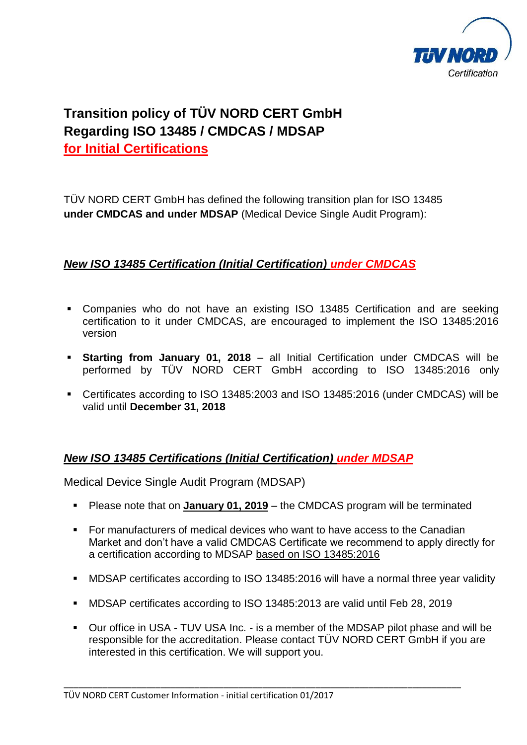

# **Transition policy of TÜV NORD CERT GmbH Regarding ISO 13485 / CMDCAS / MDSAP for Initial Certifications**

TÜV NORD CERT GmbH has defined the following transition plan for ISO 13485 **under CMDCAS and under MDSAP** (Medical Device Single Audit Program):

## *New ISO 13485 Certification (Initial Certification) under CMDCAS*

- Companies who do not have an existing ISO 13485 Certification and are seeking certification to it under CMDCAS, are encouraged to implement the ISO 13485:2016 version
- **Starting from January 01, 2018** all Initial Certification under CMDCAS will be performed by TÜV NORD CERT GmbH according to ISO 13485:2016 only
- Certificates according to ISO 13485:2003 and ISO 13485:2016 (under CMDCAS) will be valid until **December 31, 2018**

## *New ISO 13485 Certifications (Initial Certification) under MDSAP*

Medical Device Single Audit Program (MDSAP)

- Please note that on **January 01, 2019** the CMDCAS program will be terminated
- For manufacturers of medical devices who want to have access to the Canadian Market and don't have a valid CMDCAS Certificate we recommend to apply directly for a certification according to MDSAP based on ISO 13485:2016
- MDSAP certificates according to ISO 13485:2016 will have a normal three year validity
- MDSAP certificates according to ISO 13485:2013 are valid until Feb 28, 2019

\_\_\_\_\_\_\_\_\_\_\_\_\_\_\_\_\_\_\_\_\_\_\_\_\_\_\_\_\_\_\_\_\_\_\_\_\_\_\_\_\_\_\_\_\_\_\_\_\_\_\_\_\_\_\_\_\_\_\_\_\_\_\_\_\_\_\_\_\_\_\_\_\_\_\_\_\_\_\_\_\_\_

 Our office in USA - TUV USA Inc. - is a member of the MDSAP pilot phase and will be responsible for the accreditation. Please contact TÜV NORD CERT GmbH if you are interested in this certification. We will support you.